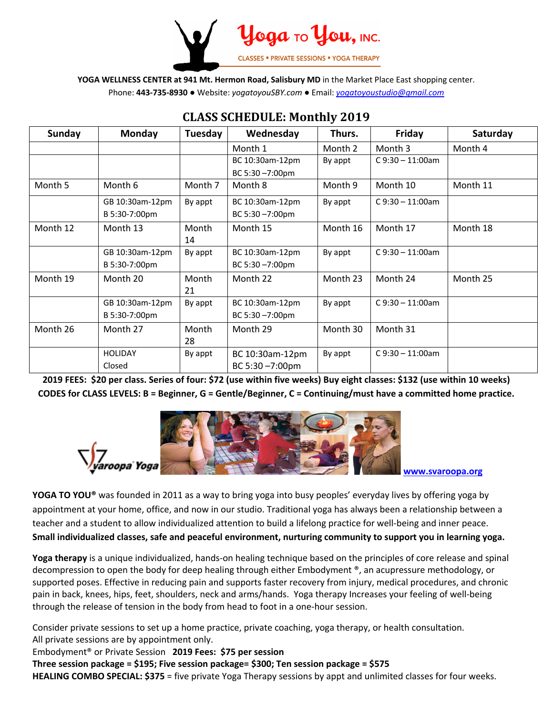

**YOGA WELLNESS CENTER at 941 Mt. Hermon Road, Salisbury MD** in the Market Place East shopping center.

Phone: **443-735-8930 ●** Website: *yogatoyouSBY.com ●* Email: *yogatoyoustudio@gmail.com*

| <b>Sunday</b> | Monday          | Tuesday | Wednesday       | Thurs.   | Friday               | Saturday |
|---------------|-----------------|---------|-----------------|----------|----------------------|----------|
|               |                 |         | Month 1         | Month 2  | Month 3              | Month 4  |
|               |                 |         | BC 10:30am-12pm | By appt  | $C$ 9:30 - 11:00am   |          |
|               |                 |         | BC 5:30-7:00pm  |          |                      |          |
| Month 5       | Month 6         | Month 7 | Month 8         | Month 9  | Month 10             | Month 11 |
|               | GB 10:30am-12pm | By appt | BC 10:30am-12pm | By appt  | $C$ 9:30 - 11:00am   |          |
|               | B 5:30-7:00pm   |         | BC 5:30-7:00pm  |          |                      |          |
| Month 12      | Month 13        | Month   | Month 15        | Month 16 | Month 17             | Month 18 |
|               |                 | 14      |                 |          |                      |          |
|               | GB 10:30am-12pm | By appt | BC 10:30am-12pm | By appt  | $C$ 9:30 $-$ 11:00am |          |
|               | B 5:30-7:00pm   |         | BC 5:30-7:00pm  |          |                      |          |
| Month 19      | Month 20        | Month   | Month 22        | Month 23 | Month 24             | Month 25 |
|               |                 | 21      |                 |          |                      |          |
|               | GB 10:30am-12pm | By appt | BC 10:30am-12pm | By appt  | $C$ 9:30 - 11:00am   |          |
|               | B 5:30-7:00pm   |         | BC 5:30-7:00pm  |          |                      |          |
| Month 26      | Month 27        | Month   | Month 29        | Month 30 | Month 31             |          |
|               |                 | 28      |                 |          |                      |          |
|               | <b>HOLIDAY</b>  | By appt | BC 10:30am-12pm | By appt  | $C$ 9:30 $-$ 11:00am |          |
|               | Closed          |         | BC 5:30-7:00pm  |          |                      |          |

## **CLASS SCHEDULE: Monthly 2019**

**2019 FEES: \$20 per class. Series of four: \$72 (use within five weeks) Buy eight classes: \$132 (use within 10 weeks) CODES for CLASS LEVELS: B = Beginner, G = Gentle/Beginner, C = Continuing/must have a committed home practice.**



**www.svaroopa.org**

**YOGA TO YOU®** was founded in 2011 as a way to bring yoga into busy peoples' everyday lives by offering yoga by appointment at your home, office, and now in our studio. Traditional yoga has always been a relationship between a teacher and a student to allow individualized attention to build a lifelong practice for well-being and inner peace. **Small individualized classes, safe and peaceful environment, nurturing community to support you in learning yoga.**

**Yoga therapy** is a unique individualized, hands-on healing technique based on the principles of core release and spinal decompression to open the body for deep healing through either Embodyment ®, an acupressure methodology, or supported poses. Effective in reducing pain and supports faster recovery from injury, medical procedures, and chronic pain in back, knees, hips, feet, shoulders, neck and arms/hands. Yoga therapy Increases your feeling of well-being through the release of tension in the body from head to foot in a one-hour session.

Consider private sessions to set up a home practice, private coaching, yoga therapy, or health consultation. All private sessions are by appointment only.

Embodyment® or Private Session **2019 Fees: \$75 per session** 

**Three session package = \$195; Five session package= \$300; Ten session package = \$575 HEALING COMBO SPECIAL: \$375** = five private Yoga Therapy sessions by appt and unlimited classes for four weeks.